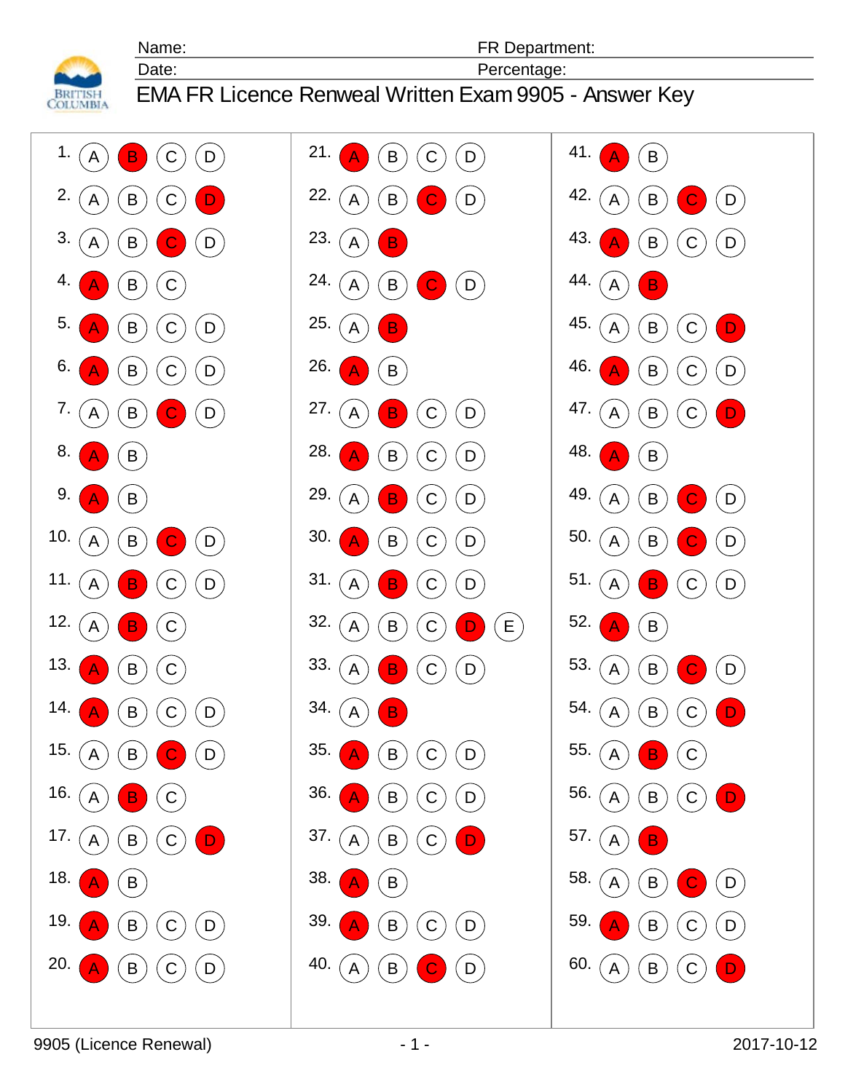**BRITISH**<br>COLUMBIA

EMA FR Licence Renweal Written Exam 9905 - Answer Key

Date: Percentage: